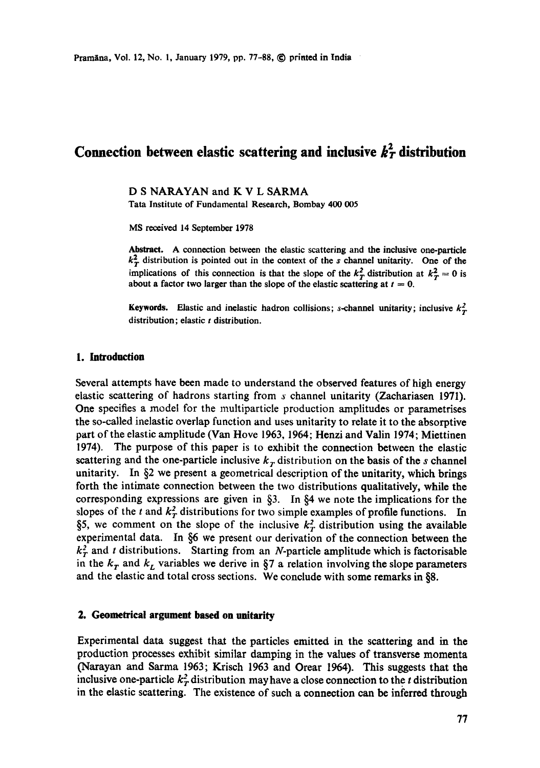# Connection between elastic scattering and inclusive  $k<sub>T</sub><sup>2</sup>$  distribution

D S NARAYAN and K V L SARMA Tata Institute of Fundamental Research, Bombay 400 005

MS received 14 September 1978

Abstract. A connection between the elastic scattering and the inclusive one-particle  $k_T^2$  distribution is pointed out in the context of the s channel unitarity. One of the implications of this connection is that the slope of the  $k_T^2$  distribution at  $k_T^2 = 0$  is about a factor two larger than the slope of the elastic scattering at  $t = 0$ .

**Keywords.** Elastic and inelastic hadron collisions; s-channel unitarity; inclusive  $k_T^2$ distribution; elastic  $t$  distribution.

## **1. Introduction**

Several attempts have been made to understand the observed features of high energy elastic scattering of hadrons starting from s channel unitarity (Zachariasen 1971). One specifies a model for the multiparticle production amplitudes or parametrises the so-called inelastic overlap function and uses unitarity to relate it to the absorptive part of the elastie amplitude (Van Hove 1963, 1964; Henzi and Valin 1974; Miettinen 1974). The purpose of this paper is to exhibit the connection between the elastic scattering and the one-particle inclusive  $k<sub>r</sub>$  distribution on the basis of the s channel unitarity. In §2 we present a geometrical description of the unitarity, which brings forth the intimate connection between the two distributions qualitatively, while the corresponding expressions are given in §3. In §4 we note the implications for the slopes of the t and  $k_T^2$  distributions for two simple examples of profile functions. In §5, we comment on the slope of the inclusive  $k_T^2$  distribution using the available experimental data. In §6 we present our derivation of the connection between the  $k_T^2$  and t distributions. Starting from an N-particle amplitude which is factorisable in the  $k_T$  and  $k_L$  variables we derive in §7 a relation involving the slope parameters and the elastic and total cross sections. We conclude with some remarks in §8.

# **2. Geometrical argument based on unitarity**

Experimental data suggest that the particles emitted in the scattering and in the production processes exhibit similar damping in the values of transverse momenta (Naxayan and Sarma 1963; Krisch 1963 and Orear 1964). This suggests that the inclusive one-particle  $k_T^2$  distribution may have a close connection to the t distribution in the elastic scattering. The existence of such a connection can be inferred through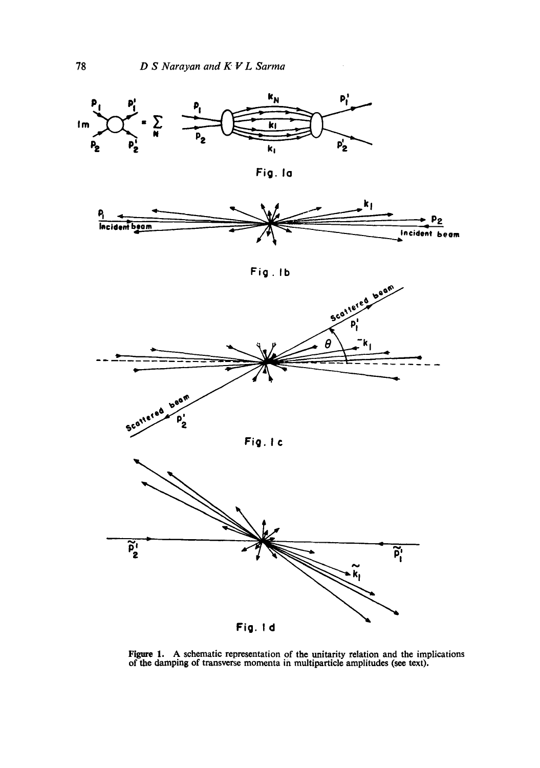$\bar{z}$ 



Figure 1. A schematic representation of the unitarity relation and the implications of the damping of transverse momenta in multiparticle amplitudes (see text).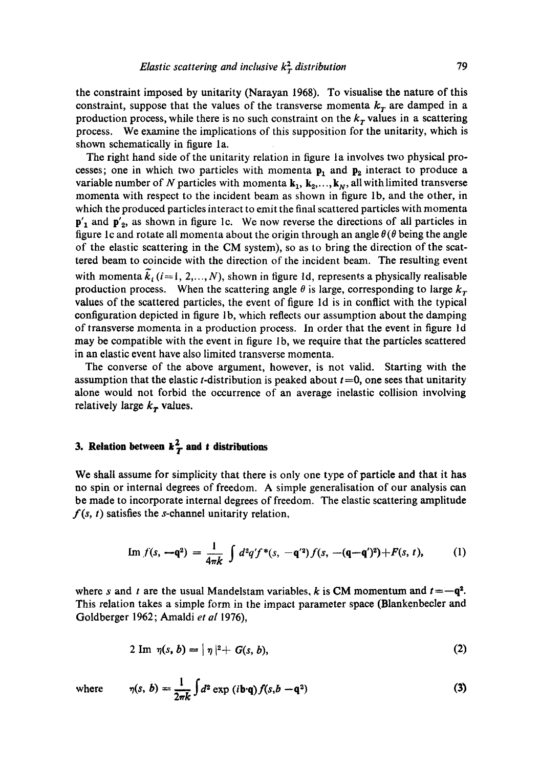the constraint imposed by unitarity (Narayan 1968). To visualise the nature of this constraint, suppose that the values of the transverse momenta  $k<sub>r</sub>$  are damped in a production process, while there is no such constraint on the  $k<sub>T</sub>$  values in a scattering process. We examine the implications of this supposition for the unitarity, which is shown schematically in figure la.

The right hand side of the unitarity relation in figure la involves two physical processes; one in which two particles with momenta  $p_1$  and  $p_2$  interact to produce a variable number of N particles with momenta  $\mathbf{k}_1, \mathbf{k}_2, \ldots, \mathbf{k}_N$ , all with limited transverse momenta with respect to the incident beam as shown in figure lb, and the other, in which the produced particles interact to emit the final scattered particles with momenta  $p'_1$  and  $p'_2$ , as shown in figure 1c. We now reverse the directions of all particles in figure 1c and rotate all momenta about the origin through an angle  $\theta(\theta)$  being the angle of the elastic scattering in the CM system), so as to bring the direction of the scattered beam to coincide with the direction of the incident beam. The resulting event with momenta  $\widetilde{k}_i$  (i=1, 2,..., N), shown in figure 1d, represents a physically realisable production process. When the scattering angle  $\theta$  is large, corresponding to large  $k_T$ values of the scattered particles, the event of figure ld is in conflict with the typical configuration depicted in figure lb, which reflects our assumption about the damping of transverse momenta in a production process. In order that the event in figure ld may be compatible with the event in figure 1b, we require that the particles scattered in an elastic event have also limited transverse momenta.

The converse of the above argument, however, is not valid. Starting with the assumption that the elastic *t*-distribution is peaked about  $t = 0$ , one sees that unitarity alone would not forbid the occurrence of an average inelastic collision involving relatively large  $k<sub>r</sub>$  values.

# **3. Relation between**  $k<sup>2</sup><sub>T</sub>$  **and** *t* **distributions**

We shall assume for simplicity that there is only one type of particle and that it has no spin or internal degrees of freedom. A simple generalisation of our analysis can be made to incorporate internal degrees of freedom. The elastic scattering amplitude  $f(s, t)$  satisfies the *s*-channel unitarity relation,

Im 
$$
f(s, -q^2) = \frac{1}{4\pi k} \int d^2q' f^*(s, -q'^2) f(s, -(q-q')^2) + F(s, t),
$$
 (1)

where s and t are the usual Mandelstam variables, k is CM momentum and  $t = -q^2$ . This relation takes a simple form in the impact parameter space (Blankenbecler and Goldberger 1962; Amaldi *et al* 1976),

$$
2 \operatorname{Im} \eta(s, b) = |\eta|^2 + G(s, b), \qquad (2)
$$

where 
$$
\eta(s, b) = \frac{1}{2\pi k} \int d^2 \exp(i\mathbf{b} \cdot \mathbf{q}) f(s, b - \mathbf{q}^2)
$$
 (3)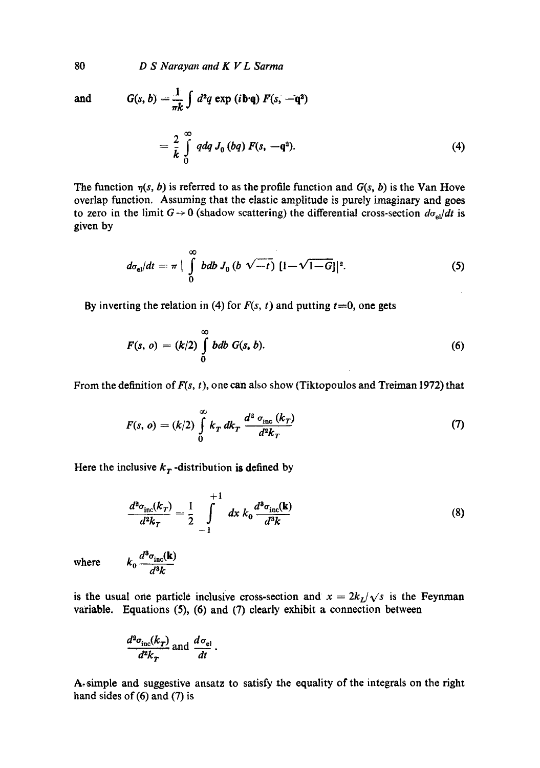and

$$
G(s, b) = \frac{1}{\pi k} \int d^2q \exp(i\mathbf{b} \cdot \mathbf{q}) F(s, -\mathbf{q}^2)
$$
  
=  $\frac{2}{k} \int_0^\infty q dq J_0 (bq) F(s, -\mathbf{q}^2).$  (4)

The function  $\eta(s, b)$  is referred to as the profile function and  $G(s, b)$  is the Van Hove overlap function. Assuming that the elastic amplitude is purely imaginary and goes to zero in the limit  $G \rightarrow 0$  (shadow scattering) the differential cross-section  $d\sigma_{el}/dt$  is given by

$$
d\sigma_{\rm el}/dt = \pi \mid \int_{0}^{\infty} bdb J_0 (b \sqrt{-t}) \; [1-\sqrt{1-G}] \mid ^2. \tag{5}
$$

By inverting the relation in (4) for  $F(s, t)$  and putting  $t=0$ , one gets

$$
F(s, o) = (k/2) \int_{0}^{\infty} bdb \ G(s, b).
$$
 (6)

From the definition of  $F(s, t)$ , one can also show (Tiktopoulos and Treiman 1972) that

$$
F(s, o) = (k/2) \int_{0}^{\infty} k_T \, dk_T \, \frac{d^2 \sigma_{\text{inc}}(k_T)}{d^2 k_T} \tag{7}
$$

Here the inclusive  $k<sub>T</sub>$  -distribution is defined by

$$
\frac{d^2\sigma_{\rm inc}(k_T)}{d^2k_T} = \frac{1}{2} \int_{-1}^{+1} dx \, k_0 \frac{d^3\sigma_{\rm inc}(\mathbf{k})}{d^3k} \tag{8}
$$

where  $k_0 \frac{d^{\alpha} \sigma_{\text{inc}}(\mathbf{K})}{d^3 L}$ 

is the usual one particle inclusive cross-section and  $x = 2k_L/\sqrt{s}$  is the Feynman variable. Equations (5), (6) and (7) clearly exhibit a connection between

$$
\frac{d^2\sigma_{\rm inc}(k_T)}{d^2k_T}
$$
 and 
$$
\frac{d\sigma_{\rm el}}{dt}
$$
.

A.simple and suggestive ansatz to satisfy the equality of the integrals on the right hand sides of (6) and (7) is

80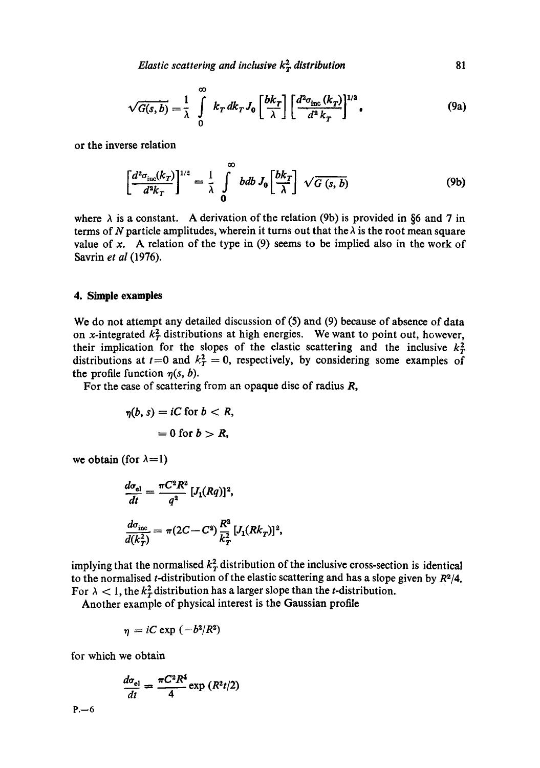*Elastic scattering and inclusive*  $k_T^2$  *distribution* 81

$$
\sqrt{G(s,b)} = \frac{1}{\lambda} \int\limits_{0}^{\infty} k_T dk_T J_0 \left[ \frac{bk_T}{\lambda} \right] \left[ \frac{d^2 \sigma_{\text{inc}}(k_T)}{d^2 k_T} \right]^{1/2}, \tag{9a}
$$

or the inverse relation

$$
\left[\frac{d^2\sigma_{\rm inc}(k_T)}{d^2k_T}\right]^{1/2} = \frac{1}{\lambda} \int_0^\infty bdb \, J_0\left[\frac{bk_T}{\lambda}\right] \sqrt{G(s, b)} \tag{9b}
$$

where  $\lambda$  is a constant. A derivation of the relation (9b) is provided in §6 and 7 in terms of N particle amplitudes, wherein it turns out that the  $\lambda$  is the root mean square value of x. A relation of the type in  $(9)$  seems to be implied also in the work of Savrin *et al* (1976).

#### **4. Simple examples**

We do not attempt any detailed discussion of (5) and (9) because of absence of data on x-integrated  $k_T^2$  distributions at high energies. We want to point out, however, their implication for the slopes of the elastic scattering and the inclusive  $k_T^2$ distributions at  $t=0$  and  $k_T^2 = 0$ , respectively, by considering some examples of the profile function  $\eta(s, b)$ .

For the case of scattering from an opaque disc of radius  $R$ ,

$$
\eta(b, s) = iC \text{ for } b < R,
$$
\n
$$
= 0 \text{ for } b > R,
$$

we obtain (for  $\lambda=1$ )

$$
\frac{d\sigma_{el}}{dt} = \frac{\pi C^2 R^2}{q^2} [J_1(Rq)]^2,
$$
  

$$
\frac{d\sigma_{inc}}{d(k_T^2)} = \pi (2C - C^2) \frac{R^2}{k_T^2} [J_1(Rk_T)]^2,
$$

implying that the normalised  $k<sub>T</sub><sup>2</sup>$  distribution of the inclusive cross-section is identical to the normalised t-distribution of the elastic scattering and has a slope given by *R~/4.*  For  $\lambda < 1$ , the  $k_T^2$  distribution has a larger slope than the *t*-distribution.

Another example of physical interest is the Gaussian profile

$$
\eta = iC \exp \left(-b^2/R^2\right)
$$

for which we obtain

$$
\frac{d\sigma_{\rm el}}{dt} = \frac{\pi C^2 R^4}{4} \exp\left(\frac{R^2 t}{2}\right)
$$

 $P - 6$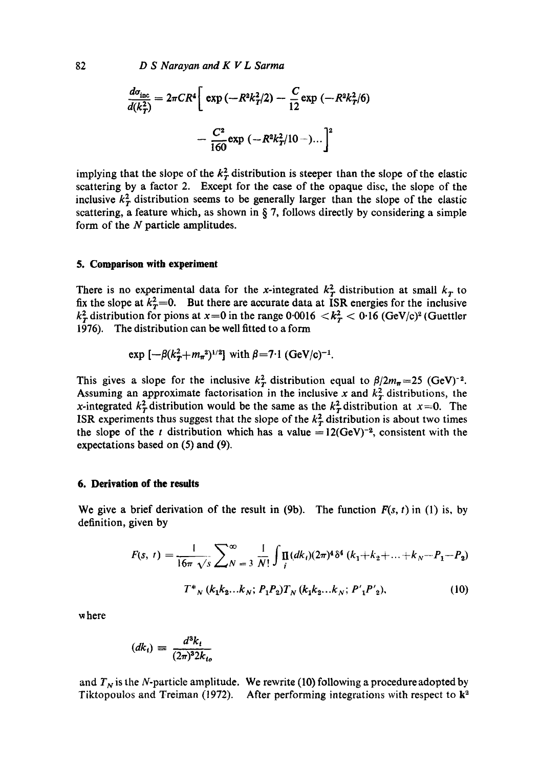$$
\frac{d\sigma_{\text{inc}}}{d(k_T^2)} = 2\pi CR^4 \left[ \exp\left(-R^2k_T^2/2\right) - \frac{C}{12} \exp\left(-R^2k_T^2/6\right) - \frac{C^2}{160} \exp\left(-R^2k_T^2/10 - \right) \dots \right]^2
$$

implying that the slope of the  $k<sub>T</sub><sup>2</sup>$  distribution is steeper than the slope of the elastic scattering by a factor 2. Except for the case of the opaque disc, the slope of the inclusive  $k_T^2$  distribution seems to be generally larger than the slope of the elastic scattering, a feature which, as shown in  $\S$  7, follows directly by considering a simple form of the  $N$  particle amplitudes.

#### **5. Comparison with experiment**

There is no experimental data for the x-integrated  $k_T^2$  distribution at small  $k_T$  to fix the slope at  $k_T^2=0$ . But there are accurate data at ISR energies for the inclusive  $k_T^2$  distribution for pions at  $x=0$  in the range  $0.0016 < k_T^2 < 0.16$  (GeV/c)<sup>2</sup> (Guettler 1976). The distribution can be well fitted to a form

exp 
$$
[-\beta(k_T^2 + m_\pi^2)^{1/2}]
$$
 with  $\beta = 7.1$  (GeV/c)<sup>-1</sup>.

This gives a slope for the inclusive  $k_T^2$  distribution equal to  $\beta/2m_\pi=25$  (GeV)<sup>-2</sup>. Assuming an approximate factorisation in the inclusive x and  $k_T^2$  distributions, the x-integrated  $k_T^2$  distribution would be the same as the  $k_T^2$  distribution at  $x=0$ . The ISR experiments thus suggest that the slope of the  $k<sub>T</sub><sup>2</sup>$  distribution is about two times the slope of the t distribution which has a value =12(GeV)<sup>-2</sup>, consistent with the expectations based on (5) and (9).

#### **6. Derivation of the results**

We give a brief derivation of the result in  $(9b)$ . The function  $F(s, t)$  in  $(1)$  is, by definition, given by

$$
F(s, t) = \frac{1}{16\pi \sqrt{s}} \sum_{N=3}^{\infty} \frac{1}{N!} \int_{i}^{N} \prod_{i} (dk_{i})(2\pi)^{4} \delta^{4} (k_{1} + k_{2} + ... + k_{N} - P_{1} - P_{2})
$$

$$
T^{*}_{N} (k_{1}k_{2}...k_{N}; P_{1}P_{2})T_{N} (k_{1}k_{2}...k_{N}; P'_{1}P'_{2}),
$$
(10)

where

$$
(dk_t) \equiv \frac{d^3k_t}{(2\pi)^3 2k_{to}}
$$

and  $T_N$  is the N-particle amplitude. We rewrite (10) following a procedure adopted by Tiktopoulos and Treiman (1972). After performing integrations with respect to  $\mathbf{k}^2$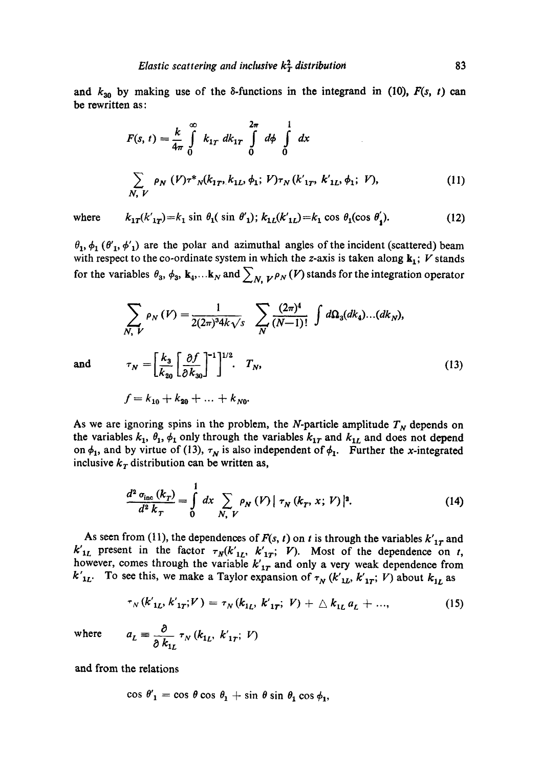and  $k_{30}$  by making use of the  $\delta$ -functions in the integrand in (10),  $F(s, t)$  can be rewritten as:

$$
F(s, t) = \frac{k}{4\pi} \int_{0}^{\infty} k_{1T} dk_{1T} \int_{0}^{2\pi} d\phi \int_{0}^{1} dx
$$
  

$$
\sum_{N, V} \rho_{N} (V) \tau^{*} N(k_{1T}, k_{1L}, \phi_{1}; V) \tau_{N} (k'_{1T}, k'_{1L}, \phi_{1}; V),
$$
 (11)

where  $k_{1T}(k'_{1T})=k_1 \sin \theta_1(\sin \theta'_1); k_{1L}(k'_{1L})=k_1 \cos \theta_1(\cos \theta'_1).$  (12)

 $\theta_1$ ,  $\phi_1$  ( $\theta'_1$ ,  $\phi'_1$ ) are the polar and azimuthal angles of the incident (scattered) beam with respect to the co-ordinate system in which the z-axis is taken along  $k_1$ ; V stands for the variables  $\theta_3$ ,  $\phi_3$ ,  $\mathbf{k}_4$ ,...k<sub>N</sub> and  $\sum_{N, V} \rho_N(V)$  stands for the integration operator

$$
\sum_{N, V} \rho_N(V) = \frac{1}{2(2\pi)^3 4k\sqrt{s}} \sum_{N} \frac{(2\pi)^4}{(N-1)!} \int d\Omega_3(dk_4)...(dk_N),
$$
  
and 
$$
\tau_N = \left[\frac{k_3}{k_{20}} \left[\frac{\partial f}{\partial k_{30}}\right]^{-1}\right]^{1/2} \cdot T_N,
$$
 (13)

$$
f = k_{10} + k_{20} + \ldots + k_{N0}.
$$

As we are ignoring spins in the problem, the N-particle amplitude  $T<sub>N</sub>$  depends on the variables  $k_1$ ,  $\theta_1$ ,  $\phi_1$  only through the variables  $k_{1T}$  and  $k_{1L}$  and does not depend on  $\phi_1$ , and by virtue of (13),  $\tau_N$  is also independent of  $\phi_1$ . Further the x-integrated inclusive  $k<sub>T</sub>$  distribution can be written as,

$$
\frac{d^2}{d^2}\frac{\sigma_{\text{inc}}\left(k_T\right)}{d^2k_T} = \int\limits_0^1 dx \sum\limits_{N, V} \rho_N \left(V\right) \left|\tau_N \left(k_T, x; V\right)\right|^2. \tag{14}
$$

As seen from (11), the dependences of  $F(s, t)$  on t is through the variables  $k'_{1T}$  and  $k_{1L}$  present in the factor  $\tau_N(k'_{1L}, k'_{1T}; V)$ . Most of the dependence on t, however, comes through the variable  $k_{1r}$  and only a very weak dependence from  $k'_{1L}$ . To see this, we make a Taylor expansion of  $\tau_N (k'_{1L}, k'_{1T}; V)$  about  $k_{1L}$  as

$$
\tau_N(k'_{1L}, k'_{1T}; V) = \tau_N(k_{1L}, k'_{1T}; V) + \Delta k_{1L} a_L + ..., \qquad (15)
$$

 $where$   $a$ 

$$
L = \frac{\partial}{\partial k_{1L}} \tau_N(k_{1L}, k'_{1T}; V)
$$

and from the relations

$$
\cos \theta'_1 = \cos \theta \cos \theta_1 + \sin \theta \sin \theta_1 \cos \theta_1,
$$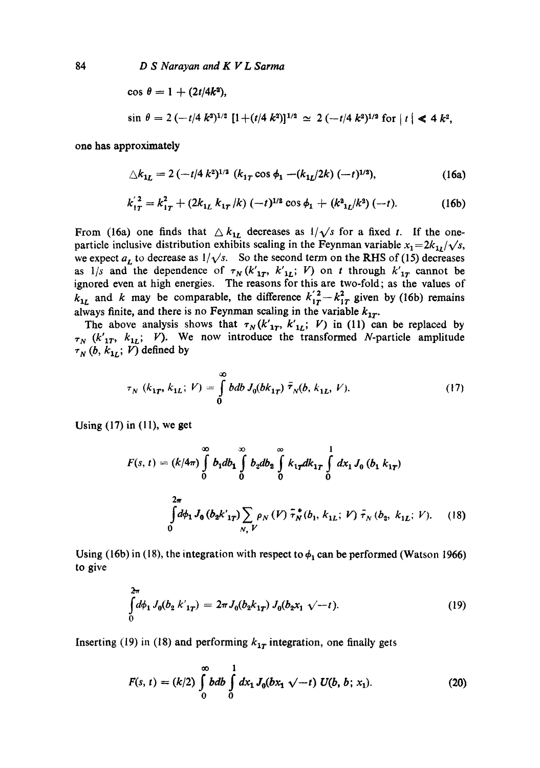$$
\cos \theta = 1 + (2t/4k^2),
$$
  
\n
$$
\sin \theta = 2(-t/4 k^2)^{1/2} [1 + (t/4 k^2)]^{1/2} \simeq 2(-t/4 k^2)^{1/2} \text{ for } |t| \le 4 k^2,
$$

one has approximately

$$
\triangle k_{1L} = 2 \left( -t/4 k^2 \right)^{1/2} (k_{1T} \cos \phi_1 - (k_{1L}/2k) (-t)^{1/2}), \tag{16a}
$$

$$
k_{1T}^{'2} = k_{1T}^2 + (2k_{1L} k_{1T}/k) (-t)^{1/2} \cos \phi_1 + (k_{1L}^2/k^2) (-t).
$$
 (16b)

From (16a) one finds that  $\Delta k_{1L}$  decreases as  $1/\sqrt{s}$  for a fixed t. If the oneparticle inclusive distribution exhibits scaling in the Feynman variable  $x_1=2k_{11}/\sqrt{s}$ , we expect  $a_L$  to decrease as  $1/\sqrt{s}$ . So the second term on the RHS of (15) decreases as  $1/s$  and the dependence of  $\tau_N(k'_{1T}, k'_{1L}; V)$  on t through  $k'_{1T}$  cannot be ignored even at high energies. The reasons for this are two-fold; as the values of  $k_{1r}$  and k may be comparable, the difference  $k_{1r}^{'2} - k_{1r}^2$  given by (16b) remains always finite, and there is no Feynman scaling in the variable  $k_{1T}$ .

The above analysis shows that  $\tau_N(k'_{1T}, k'_{1L}; V)$  in (11) can be replaced by  $\tau_N$  ( $k'_{1T}$ ,  $k_{1L}$ ; V). We now introduce the transformed N-particle amplitude  $\tau_N(b, k_{1L}; V)$  defined by

$$
\tau_N(k_{1T}, k_{1L}; V) = \int_0^\infty bdb J_0(bk_{1T}) \bar{\tau}_N(b, k_{1L}, V). \tag{17}
$$

Using  $(17)$  in  $(11)$ , we get

$$
F(s, t) = (k/4\pi) \int_{0}^{\infty} b_1 db_1 \int_{0}^{\infty} b_2 db_2 \int_{0}^{\infty} k_{1T} dk_{1T} \int_{0}^{1} dx_1 J_0 (b_1 k_{1T})
$$
  

$$
\int_{0}^{2\pi} d\phi_1 J_0 (b_2 k'_{1T}) \sum_{N, V} \rho_N (V) \tilde{\tau}_N^*(b_1, k_{1L}; V) \tilde{\tau}_N (b_2, k_{1L}; V). \quad (18)
$$

Using (16b) in (18), the integration with respect to  $\phi_1$  can be performed (Watson 1966) to give

$$
\int_{0}^{2\pi} d\phi_1 J_0(b_2 k'_{1T}) = 2\pi J_0(b_2 k_{1T}) J_0(b_2 x_1 \sqrt{-t}).
$$
\n(19)

Inserting (19) in (18) and performing  $k_{1T}$  integration, one finally gets

$$
F(s, t) = (k/2) \int_{0}^{\infty} bdb \int_{0}^{1} dx_1 J_0(bx_1 \sqrt{-t}) U(b, b; x_1).
$$
 (20)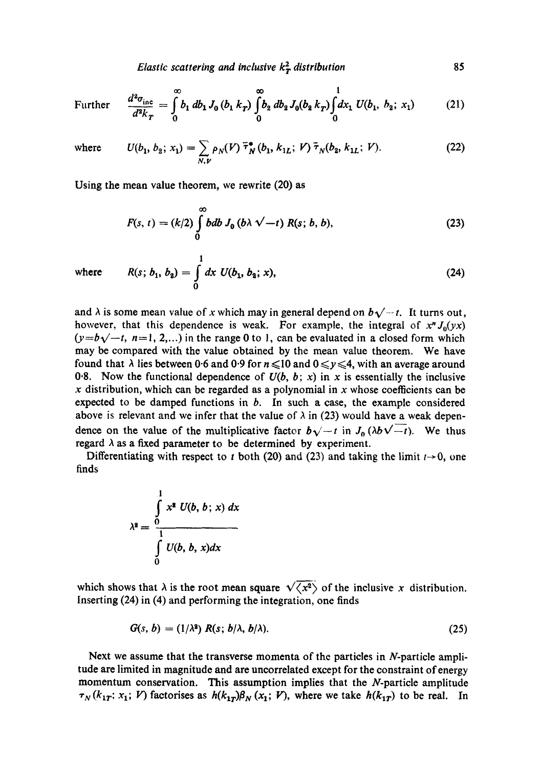*Elastic scattering and inclusive*  $k_T^2$  *distribution* 85

Further 
$$
\frac{d^2\sigma_{\text{inc}}}{d^2k_T} = \int_0^\infty b_1 \, db_1 \, J_0 \left(b_1 \, k_T\right) \int_0^\infty b_2 \, db_2 \, J_0 \left(b_2 \, k_T\right) \int_0^1 dx_1 \, U \left(b_1, \, b_2; \, x_1\right) \tag{21}
$$

where 
$$
U(b_1, b_2; x_1) = \sum_{N,\nu} \rho_N(V) \overline{\tau}_N^*(b_1, k_{1L}; \nu) \overline{\tau}_N(b_2, k_{1L}; \nu).
$$
 (22)

Using the mean value theorem, we rewrite (20) as

$$
F(s, t) = (k/2) \int_{0}^{\infty} bdb J_{0} (b \lambda \sqrt{-t}) R(s; b, b),
$$
 (23)

where 
$$
R(s; b_1, b_2) = \int_0^1 dx \ U(b_1, b_2; x),
$$
 (24)

and  $\lambda$  is some mean value of x which may in general depend on  $b\sqrt{-t}$ . It turns out, however, that this dependence is weak. For example, the integral of  $x^n J_0(yx)$  $(y=b\sqrt{-t}, n=1, 2,...)$  in the range 0 to 1, can be evaluated in a closed form which may be compared with the value obtained by the mean value theorem. We have found that  $\lambda$  lies between 0.6 and 0.9 for  $n \leq 10$  and  $0 \leq y \leq 4$ , with an average around 0.8. Now the functional dependence of  $U(b, b; x)$  in x is essentially the inclusive  $x$  distribution, which can be regarded as a polynomial in  $x$  whose coefficients can be expected to be damped functions in  $b$ . In such a case, the example considered above is relevant and we infer that the value of  $\lambda$  in (23) would have a weak dependence on the value of the multiplicative factor  $b\sqrt{-t}$  in  $J_0(\lambda b\sqrt{-t})$ . We thus regard  $\lambda$  as a fixed parameter to be determined by experiment.

Differentiating with respect to t both (20) and (23) and taking the limit  $t\rightarrow 0$ , one finds

$$
\lambda^2 = \frac{\int\limits_0^1 x^2 U(b, b; x) dx}{\int\limits_0^1 U(b, b, x) dx}
$$

which shows that  $\lambda$  is the root mean square  $\sqrt{\langle x^2 \rangle}$  of the inclusive x distribution. Inserting (24) in (4) and performing the integration, one finds

$$
G(s, b) = (1/\lambda^2) R(s; b/\lambda, b/\lambda).
$$
 (25)

Next we assume that the transverse momenta of the particles in  $N$ -particle amplitude are limited in magnitude and are uneorrelated except for the constraint of energy momentum conservation. This assumption implies that the N-particle amplitude  $\tau_N(k_{1T}; x_1; V)$  factorises as  $h(k_{1T})\beta_N(x_1; V)$ , where we take  $h(k_{1T})$  to be real. In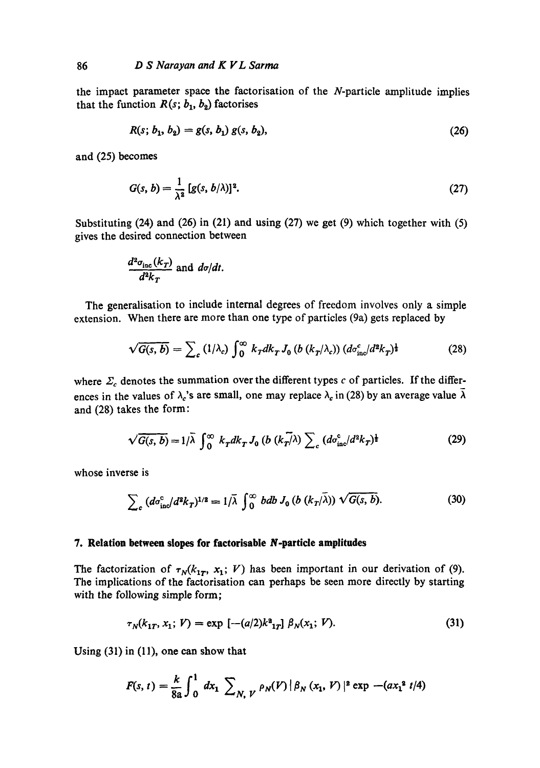the impact parameter space the factorisation of the N-particle amplitude implies that the function  $R(s; b_1, b_2)$  factorises

$$
R(s; b_1, b_2) = g(s, b_1) g(s, b_2), \qquad (26)
$$

and (25) becomes

$$
G(s, b) = \frac{1}{\lambda^2} [g(s, b/\lambda)]^2.
$$
 (27)

Substituting  $(24)$  and  $(26)$  in  $(21)$  and using  $(27)$  we get  $(9)$  which together with  $(5)$ gives the desired connection between

$$
\frac{d^2\sigma_{\rm inc}(k_T)}{d^2k_T}
$$
 and  $d\sigma/dt$ .

The generalisation to include internal degrees of freedom involves only a simple extension. When there are more than one type of particles (9a) gets replaced by

$$
\sqrt{G(s,b)} = \sum_{c} (1/\lambda_c) \int_0^\infty k_T dk_T J_0 \left( b \left( k_T/\lambda_c \right) \right) \left( d\sigma_{\rm inc}^c / d^2 k_T \right) ^\frac{1}{2} \tag{28}
$$

where  $\Sigma_c$  denotes the summation over the different types c of particles. If the differences in the values of  $\lambda_c$ 's are small, one may replace  $\lambda_c$  in (28) by an average value  $\bar{\lambda}$ and (28) takes the form:

$$
\sqrt{G(s,b)} = 1/\overline{\lambda} \int_0^\infty k_T dk_T J_0 \left( b \left( k_T / \lambda \right) \sum_c \left( d\sigma_{\rm inc}^c / d^2 k_T \right) \right) \tag{29}
$$

whose inverse is

$$
\sum_{c} \left( d\sigma_{\rm inc}^{c} / d^{2}k_{T} \right)^{1/2} = 1/\bar{\lambda} \int_{0}^{\infty} bdb J_{0} \left( b \left( k_{T} / \bar{\lambda} \right) \right) \sqrt{G(s, b)}.
$$
 (30)

#### **7. Relation between slopes for factorisable N-particle amplitudes**

The factorization of  $\tau_N(k_{1T}, x_1; V)$  has been important in our derivation of (9). The implications of the factorisation can perhaps be seen more directly by starting with the following simple form;

$$
\tau_N(k_{1T}, x_1; V) = \exp\left[ -(a/2)k^2_{1T} \right] \beta_N(x_1; V). \tag{31}
$$

Using (31) in (11), one can show that

$$
F(s, t) = \frac{k}{8a} \int_0^1 dx_1 \sum_{N, V} \rho_N(V) |\beta_N(x_1, V)|^2 \exp -(ax_1^2 t/4)
$$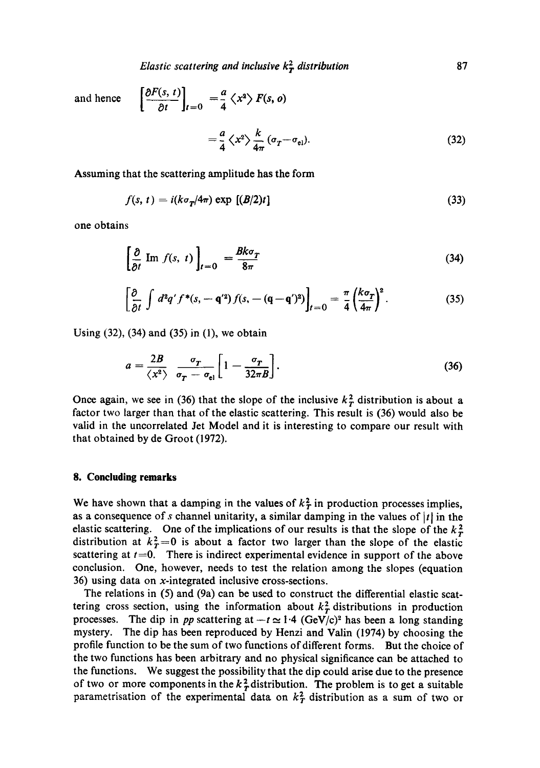*Elastic scattering and inclusive*  $k_T^2$  *distribution* 87

and hence  $\left[\frac{\partial F(s, t)}{\partial t}\right]_{t=0} = \frac{a}{4} \langle x^2 \rangle F(s, o)$  $a \rightarrow k$   $k$ 

$$
=\frac{1}{4}\left\langle x^{2}\right\rangle \frac{1}{4\pi}\left(\sigma_{T}-\sigma_{\text{el}}\right). \tag{32}
$$

Assuming that the scattering amplitude has the form

$$
f(s, t) = i(k\sigma_T/4\pi) \exp[(B/2)t]
$$
\n(33)

one obtains

$$
\left[\frac{\partial}{\partial t} \text{ Im } f(s, t)\right]_{t=0} = \frac{Bk\sigma_T}{8\pi} \tag{34}
$$

$$
\left[\frac{\partial}{\partial t}\int d^2q' f^*(s, -\mathbf{q}'^2)f(s, -(\mathbf{q}-\mathbf{q}')^2)\right]_{t=0} = \frac{\pi}{4}\left(\frac{k\sigma_T}{4\pi}\right)^2.
$$
 (35)

Using (32), (34) and (35) in (1), we obtain

$$
a = \frac{2B}{\langle x^2 \rangle} \frac{\sigma_T}{\sigma_T - \sigma_{\rm el}} \left[ 1 - \frac{\sigma_T}{32\pi B} \right]. \tag{36}
$$

Once again, we see in (36) that the slope of the inclusive  $k<sub>T</sub><sup>2</sup>$  distribution is about a factor two larger than that of the elastic scattering. This result is (36) would also be valid in the uneorrelated Jet Model and it is interesting to compare our result with that obtained by de Groot (1972).

### **8. Concluding remarks**

We have shown that a damping in the values of  $k_T^2$  in production processes implies, as a consequence of s channel unitarity, a similar damping in the values of  $|t|$  in the elastic scattering. One of the implications of our results is that the slope of the  $k_T^2$ distribution at  $k_T^2=0$  is about a factor two larger than the slope of the elastic scattering at  $t=0$ . There is indirect experimental evidence in support of the above conclusion. One, however, needs to test the relation among the slopes (equation 36) using data on x-integrated inclusive cross-sections.

The relations in (5) and (9a) can be used to construct the differential elastic scattering cross section, using the information about  $k<sub>T</sub><sup>2</sup>$  distributions in production processes. The dip in *pp* scattering at  $-t \approx 1.4$  (GeV/c)<sup>2</sup> has been a long standing mystery. The dip has been reproduced by Henzi and Valin (1974) by choosing the profile function to be the sum of two functions of different forms. But the choice of the two functions has been arbitrary and no physical significance can be attached to the functions. We suggest the possibility that the dip could arise due to the presence of two or more components in the  $k<sub>T</sub><sup>2</sup>$  distribution. The problem is to get a suitable parametrisation of the experimental data on  $k_T^2$  distribution as a sum of two or